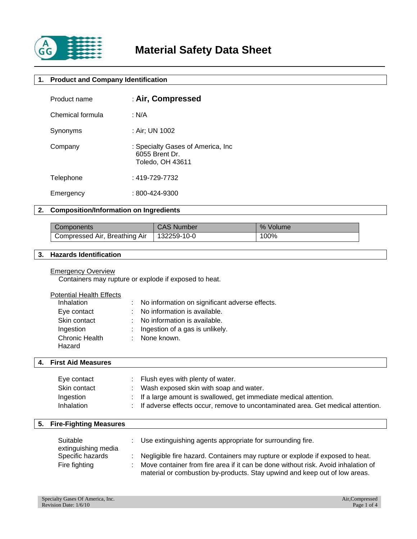

# **1. Product and Company Identification**

| Product name     | : Air, Compressed                                                        |
|------------------|--------------------------------------------------------------------------|
| Chemical formula | : N/A                                                                    |
| Synonyms         | : Air; UN 1002                                                           |
| Company          | : Specialty Gases of America, Inc.<br>6055 Brent Dr.<br>Toledo, OH 43611 |
| Telephone        | $: 419 - 729 - 7732$                                                     |
| Emergency        | : 800-424-9300                                                           |

# **2. Composition/Information on Ingredients**

| Components                    | <b>CAS Number</b>   | % Volume |
|-------------------------------|---------------------|----------|
| Compressed Air, Breathing Air | $\cdot$ 132259-10-0 | 100%     |

# **3. Hazards Identification**

### **Emergency Overview**

Containers may rupture or explode if exposed to heat.

| <b>Potential Health Effects</b> |
|---------------------------------|
|---------------------------------|

| Inhalation                      | : No information on significant adverse effects. |
|---------------------------------|--------------------------------------------------|
| Eye contact                     | : No information is available.                   |
| Skin contact                    | : No information is available.                   |
| Ingestion                       | : Ingestion of a gas is unlikely.                |
| <b>Chronic Health</b><br>Hazard | : None known.                                    |

# **4. First Aid Measures**

| Eye contact  | Flush eyes with plenty of water.                                                  |
|--------------|-----------------------------------------------------------------------------------|
| Skin contact | Wash exposed skin with soap and water.                                            |
| Ingestion    | $\therefore$ If a large amount is swallowed, get immediate medical attention.     |
| Inhalation   | : If adverse effects occur, remove to uncontaminated area. Get medical attention. |

# **5. Fire-Fighting Measures**

| Suitable<br>extinguishing media | : Use extinguishing agents appropriate for surrounding fire.                        |
|---------------------------------|-------------------------------------------------------------------------------------|
| Specific hazards                | Negligible fire hazard. Containers may rupture or explode if exposed to heat.       |
| Fire fighting                   | : Move container from fire area if it can be done without risk. Avoid inhalation of |
|                                 | material or combustion by-products. Stay upwind and keep out of low areas.          |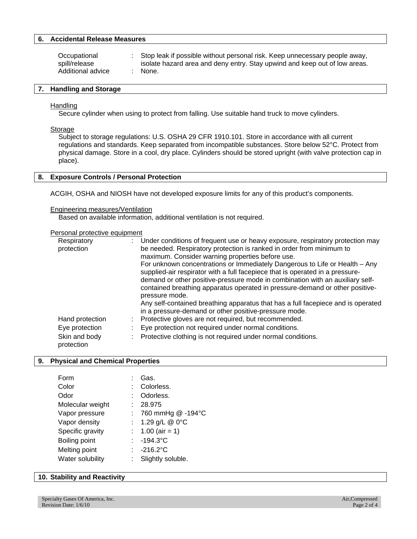### **6. Accidental Release Measures**

| Occupational      | : Stop leak if possible without personal risk. Keep unnecessary people away, |
|-------------------|------------------------------------------------------------------------------|
| spill/release     | isolate hazard area and deny entry. Stay upwind and keep out of low areas.   |
| Additional advice | : None.                                                                      |

#### **7. Handling and Storage**

#### Handling

Secure cylinder when using to protect from falling. Use suitable hand truck to move cylinders.

#### Storage

Subject to storage regulations: U.S. OSHA 29 CFR 1910.101. Store in accordance with all current regulations and standards. Keep separated from incompatible substances. Store below 52°C. Protect from physical damage. Store in a cool, dry place. Cylinders should be stored upright (with valve protection cap in place).

# **8. Exposure Controls / Personal Protection**

ACGIH, OSHA and NIOSH have not developed exposure limits for any of this product's components.

#### Engineering measures/Ventilation

Based on available information, additional ventilation is not required.

#### Personal protective equipment

| Respiratory<br>protection   | : Under conditions of frequent use or heavy exposure, respiratory protection may<br>be needed. Respiratory protection is ranked in order from minimum to<br>maximum. Consider warning properties before use.                                                                                                                                    |
|-----------------------------|-------------------------------------------------------------------------------------------------------------------------------------------------------------------------------------------------------------------------------------------------------------------------------------------------------------------------------------------------|
|                             | For unknown concentrations or Immediately Dangerous to Life or Health – Any<br>supplied-air respirator with a full facepiece that is operated in a pressure-<br>demand or other positive-pressure mode in combination with an auxiliary self-<br>contained breathing apparatus operated in pressure-demand or other positive-<br>pressure mode. |
|                             | Any self-contained breathing apparatus that has a full facepiece and is operated<br>in a pressure-demand or other positive-pressure mode.                                                                                                                                                                                                       |
| Hand protection             | Protective gloves are not required, but recommended.                                                                                                                                                                                                                                                                                            |
| Eye protection              | Eye protection not required under normal conditions.                                                                                                                                                                                                                                                                                            |
| Skin and body<br>protection | Protective clothing is not required under normal conditions.                                                                                                                                                                                                                                                                                    |

#### **9. Physical and Chemical Properties**

| Form             |                           | Gas.                  |
|------------------|---------------------------|-----------------------|
| Color            |                           | : Colorless.          |
| Odor             |                           | Odorless.             |
| Molecular weight |                           | 28.975                |
| Vapor pressure   |                           | : 760 mmHg $@ -194°C$ |
| Vapor density    | $\mathbb{Z}^{\mathbb{Z}}$ | 1.29 g/L @ 0°C        |
| Specific gravity |                           | : $1.00$ (air = 1)    |
| Boiling point    |                           | $: -194.3^{\circ}C$   |
| Melting point    |                           | $\therefore$ -216.2°C |
| Water solubility |                           | Slightly soluble.     |
|                  |                           |                       |

### **10. Stability and Reactivity**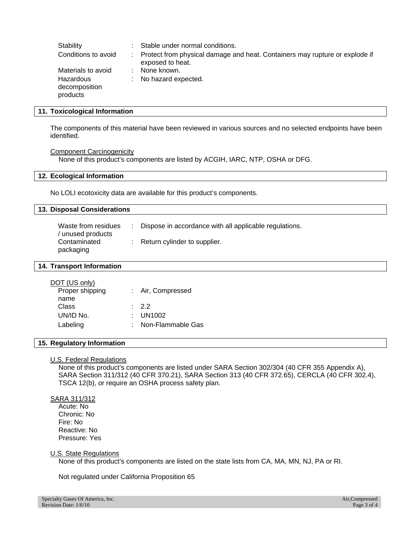| Stability                              | Stable under normal conditions.                                                                   |
|----------------------------------------|---------------------------------------------------------------------------------------------------|
| Conditions to avoid                    | : Protect from physical damage and heat. Containers may rupture or explode if<br>exposed to heat. |
| Materials to avoid                     | None known.                                                                                       |
| Hazardous<br>decomposition<br>products | : No hazard expected.                                                                             |

#### **11. Toxicological Information**

The components of this material have been reviewed in various sources and no selected endpoints have been identified.

**Component Carcinogenicity** 

None of this product's components are listed by ACGIH, IARC, NTP, OSHA or DFG.

#### **12. Ecological Information**

No LOLI ecotoxicity data are available for this product's components.

# **13. Disposal Considerations**

| Waste from residues<br>/ unused products | Dispose in accordance with all applicable regulations. |
|------------------------------------------|--------------------------------------------------------|
| Contaminated<br>packaging                | $\therefore$ Return cylinder to supplier.              |

#### **14. Transport Information**

| DOT (US only)   |                     |
|-----------------|---------------------|
| Proper shipping | : Air, Compressed   |
| name            |                     |
| Class           | .22                 |
| UN/ID No.       | : UN1002            |
| Labeling        | : Non-Flammable Gas |
|                 |                     |

### **15. Regulatory Information**

# U.S. Federal Regulations

None of this product's components are listed under SARA Section 302/304 (40 CFR 355 Appendix A), SARA Section 311/312 (40 CFR 370.21), SARA Section 313 (40 CFR 372.65), CERCLA (40 CFR 302.4), TSCA 12(b), or require an OSHA process safety plan.

### SARA 311/312

 Acute: No Chronic: No Fire: No Reactive: No Pressure: Yes

#### U.S. State Regulations

None of this product's components are listed on the state lists from CA, MA, MN, NJ, PA or RI.

Not regulated under California Proposition 65